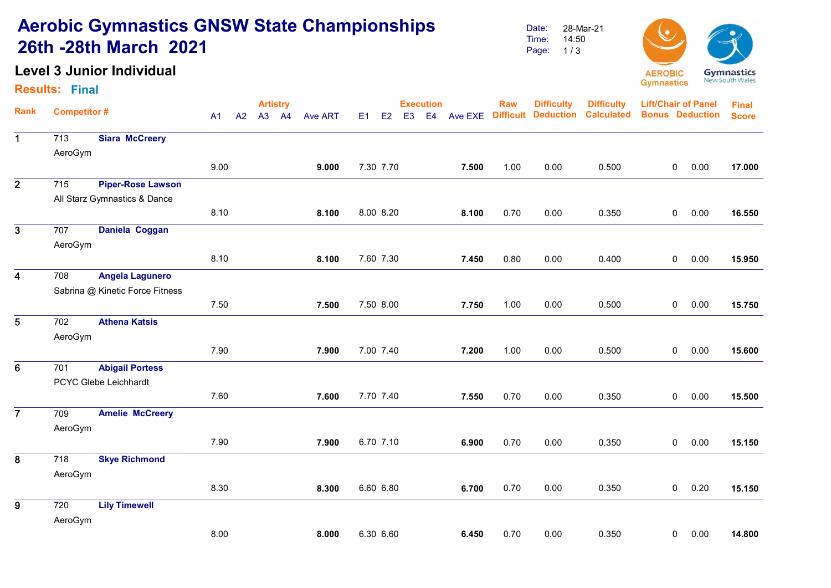# Aerobic Gymnastics GNSW State Championships 26th -28th March 2021

## Level 3 Junior Individual

#### Results: Final

Date: Time: Page: 1/3 28-Mar-21 14:50



|                         |                    |                                 |      | <b>Artistry</b> |    |                |       |           |                |    | <b>Execution</b> |                  | Raw              | <b>Difficulty</b> | <b>Difficulty</b>      | <b>Lift/Chair of Panel</b> | <b>Final</b> |        |
|-------------------------|--------------------|---------------------------------|------|-----------------|----|----------------|-------|-----------|----------------|----|------------------|------------------|------------------|-------------------|------------------------|----------------------------|--------------|--------|
| <b>Rank</b>             | <b>Competitor#</b> | A1                              | A2   | A3              | A4 | <b>Ave ART</b> | E1    | E2        | E <sub>3</sub> | E4 | Ave EXE          | <b>Difficult</b> | <b>Deduction</b> | <b>Calculated</b> | <b>Bonus Deduction</b> |                            | <b>Score</b> |        |
| $\mathbf 1$             | 713                | <b>Siara McCreery</b>           |      |                 |    |                |       |           |                |    |                  |                  |                  |                   |                        |                            |              |        |
|                         | AeroGym            |                                 |      |                 |    |                |       |           |                |    |                  |                  |                  |                   |                        |                            |              |        |
|                         |                    |                                 | 9.00 |                 |    |                | 9.000 | 7.30 7.70 |                |    |                  | 7.500            | 1.00             | 0.00              | 0.500                  | $\mathbf 0$                | 0.00         | 17.000 |
| $\overline{2}$          | 715                | <b>Piper-Rose Lawson</b>        |      |                 |    |                |       |           |                |    |                  |                  |                  |                   |                        |                            |              |        |
|                         |                    | All Starz Gymnastics & Dance    |      |                 |    |                |       |           |                |    |                  |                  |                  |                   |                        |                            |              |        |
|                         |                    |                                 | 8.10 |                 |    |                | 8.100 | 8.00 8.20 |                |    |                  | 8.100            | 0.70             | 0.00              | 0.350                  | $\mathbf 0$                | 0.00         | 16.550 |
| $\overline{\mathbf{3}}$ | 707                | Daniela Coggan                  |      |                 |    |                |       |           |                |    |                  |                  |                  |                   |                        |                            |              |        |
|                         | AeroGym            |                                 |      |                 |    |                |       |           |                |    |                  |                  |                  |                   |                        |                            |              |        |
|                         |                    |                                 | 8.10 |                 |    |                | 8.100 | 7.60 7.30 |                |    |                  | 7.450            | 0.80             | 0.00              | 0.400                  | $\mathbf 0$                | 0.00         | 15.950 |
| $\overline{\mathbf{4}}$ | 708                | <b>Angela Lagunero</b>          |      |                 |    |                |       |           |                |    |                  |                  |                  |                   |                        |                            |              |        |
|                         |                    | Sabrina @ Kinetic Force Fitness |      |                 |    |                |       |           |                |    |                  |                  |                  |                   |                        |                            |              |        |
|                         |                    |                                 | 7.50 |                 |    |                | 7.500 | 7.50 8.00 |                |    |                  | 7.750            | 1.00             | 0.00              | 0.500                  | $\mathbf 0$                | 0.00         | 15.750 |
| $5\phantom{.0}$         | 702                | <b>Athena Katsis</b>            |      |                 |    |                |       |           |                |    |                  |                  |                  |                   |                        |                            |              |        |
|                         | AeroGym            |                                 |      |                 |    |                |       |           |                |    |                  |                  |                  |                   |                        |                            |              |        |
|                         |                    |                                 | 7.90 |                 |    |                | 7.900 | 7.00 7.40 |                |    |                  | 7.200            | 1.00             | 0.00              | 0.500                  | 0                          | 0.00         | 15.600 |
| 6                       | 701                | <b>Abigail Portess</b>          |      |                 |    |                |       |           |                |    |                  |                  |                  |                   |                        |                            |              |        |
|                         |                    | PCYC Glebe Leichhardt           |      |                 |    |                |       |           |                |    |                  |                  |                  |                   |                        |                            |              |        |
|                         |                    |                                 | 7.60 |                 |    |                | 7.600 | 7.70 7.40 |                |    |                  | 7.550            | 0.70             | 0.00              | 0.350                  | $\mathbf 0$                | 0.00         | 15.500 |
| $\overline{7}$          | 709                | <b>Amelie McCreery</b>          |      |                 |    |                |       |           |                |    |                  |                  |                  |                   |                        |                            |              |        |
|                         | AeroGym            |                                 |      |                 |    |                |       |           |                |    |                  |                  |                  |                   |                        |                            |              |        |
|                         |                    |                                 | 7.90 |                 |    |                | 7.900 | 6.70 7.10 |                |    |                  | 6.900            | 0.70             | 0.00              | 0.350                  | $\mathbf 0$                | 0.00         | 15.150 |
| 8                       | 718                | <b>Skye Richmond</b>            |      |                 |    |                |       |           |                |    |                  |                  |                  |                   |                        |                            |              |        |
|                         | AeroGym            |                                 |      |                 |    |                |       |           |                |    |                  |                  |                  |                   |                        |                            |              |        |
|                         |                    |                                 | 8.30 |                 |    |                | 8.300 | 6.60 6.80 |                |    |                  | 6.700            | 0.70             | 0.00              | 0.350                  | $\mathbf 0$                | 0.20         | 15.150 |
| 9                       | 720                | <b>Lily Timewell</b>            |      |                 |    |                |       |           |                |    |                  |                  |                  |                   |                        |                            |              |        |
|                         | AeroGym            |                                 |      |                 |    |                |       |           |                |    |                  |                  |                  |                   |                        |                            |              |        |
|                         |                    |                                 | 8.00 |                 |    |                | 8.000 | 6.30 6.60 |                |    |                  | 6.450            | 0.70             | 0.00              | 0.350                  | 0                          | 0.00         | 14.800 |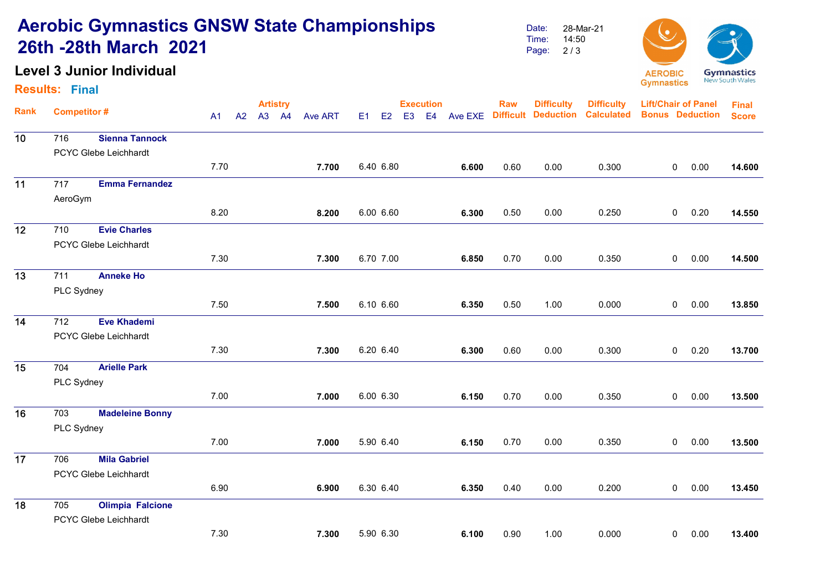# Aerobic Gymnastics GNSW State Championships 26th -28th March 2021

## Level 3 Junior Individual

#### Results: Final

Date: Time: Page: 28-Mar-21 14:50 2 / 3



|             |                       |                         | <b>Artistry</b> |    |    |                |       |           |                |    | <b>Execution</b> |                  | <b>Raw</b>       | <b>Difficulty</b> | <b>Difficulty</b>      | <b>Lift/Chair of Panel</b> | <b>Final</b> |        |
|-------------|-----------------------|-------------------------|-----------------|----|----|----------------|-------|-----------|----------------|----|------------------|------------------|------------------|-------------------|------------------------|----------------------------|--------------|--------|
| <b>Rank</b> | <b>Competitor#</b>    | A1                      | A2              | A3 | A4 | <b>Ave ART</b> | E1    | E2        | E <sub>3</sub> | E4 | Ave EXE          | <b>Difficult</b> | <b>Deduction</b> | <b>Calculated</b> | <b>Bonus Deduction</b> |                            | <b>Score</b> |        |
| 10          | 716                   | <b>Sienna Tannock</b>   |                 |    |    |                |       |           |                |    |                  |                  |                  |                   |                        |                            |              |        |
|             | PCYC Glebe Leichhardt |                         |                 |    |    |                |       |           |                |    |                  |                  |                  |                   |                        |                            |              |        |
|             |                       |                         | 7.70            |    |    |                | 7.700 | 6.40 6.80 |                |    |                  | 6.600            | 0.60             | 0.00              | 0.300                  | $\mathbf{0}$               | 0.00         | 14.600 |
| 11          | 717                   | <b>Emma Fernandez</b>   |                 |    |    |                |       |           |                |    |                  |                  |                  |                   |                        |                            |              |        |
|             | AeroGym               |                         |                 |    |    |                |       |           |                |    |                  |                  |                  |                   |                        |                            |              |        |
|             |                       |                         | 8.20            |    |    |                | 8.200 | 6.00 6.60 |                |    |                  | 6.300            | 0.50             | 0.00              | 0.250                  | $\mathbf 0$                | 0.20         | 14.550 |
| 12          | 710                   | <b>Evie Charles</b>     |                 |    |    |                |       |           |                |    |                  |                  |                  |                   |                        |                            |              |        |
|             | PCYC Glebe Leichhardt |                         |                 |    |    |                |       |           |                |    |                  |                  |                  |                   |                        |                            |              |        |
|             |                       |                         | 7.30            |    |    |                | 7.300 | 6.70 7.00 |                |    |                  | 6.850            | 0.70             | 0.00              | 0.350                  | $\mathbf 0$                | 0.00         | 14.500 |
| 13          | 711                   | <b>Anneke Ho</b>        |                 |    |    |                |       |           |                |    |                  |                  |                  |                   |                        |                            |              |        |
|             | PLC Sydney            |                         |                 |    |    |                |       |           |                |    |                  |                  |                  |                   |                        |                            |              |        |
|             |                       |                         | 7.50            |    |    |                | 7.500 | 6.10 6.60 |                |    |                  | 6.350            | 0.50             | 1.00              | 0.000                  | $\overline{0}$             | 0.00         | 13.850 |
| 14          | 712                   | <b>Eve Khademi</b>      |                 |    |    |                |       |           |                |    |                  |                  |                  |                   |                        |                            |              |        |
|             |                       | PCYC Glebe Leichhardt   |                 |    |    |                |       |           |                |    |                  |                  |                  |                   |                        |                            |              |        |
|             |                       |                         | 7.30            |    |    |                | 7.300 | 6.20 6.40 |                |    |                  | 6.300            | 0.60             | 0.00              | 0.300                  | $\mathbf{0}$               | 0.20         | 13.700 |
| 15          | 704                   | <b>Arielle Park</b>     |                 |    |    |                |       |           |                |    |                  |                  |                  |                   |                        |                            |              |        |
|             | PLC Sydney            |                         |                 |    |    |                |       |           |                |    |                  |                  |                  |                   |                        |                            |              |        |
|             |                       |                         | 7.00            |    |    |                | 7.000 | 6.00 6.30 |                |    |                  | 6.150            | 0.70             | 0.00              | 0.350                  | $\mathbf 0$                | 0.00         | 13.500 |
| 16          | 703                   | <b>Madeleine Bonny</b>  |                 |    |    |                |       |           |                |    |                  |                  |                  |                   |                        |                            |              |        |
|             | PLC Sydney            |                         |                 |    |    |                |       |           |                |    |                  |                  |                  |                   |                        |                            |              |        |
|             |                       |                         | 7.00            |    |    |                | 7.000 | 5.90 6.40 |                |    |                  | 6.150            | 0.70             | 0.00              | 0.350                  | $\mathbf 0$                | 0.00         | 13.500 |
| 17          | 706                   | <b>Mila Gabriel</b>     |                 |    |    |                |       |           |                |    |                  |                  |                  |                   |                        |                            |              |        |
|             |                       | PCYC Glebe Leichhardt   |                 |    |    |                |       |           |                |    |                  |                  |                  |                   |                        |                            |              |        |
|             |                       |                         | 6.90            |    |    |                | 6.900 | 6.30 6.40 |                |    |                  | 6.350            | 0.40             | 0.00              | 0.200                  | $\mathbf 0$                | 0.00         | 13.450 |
| 18          | 705                   | <b>Olimpia Falcione</b> |                 |    |    |                |       |           |                |    |                  |                  |                  |                   |                        |                            |              |        |
|             |                       | PCYC Glebe Leichhardt   |                 |    |    |                |       |           |                |    |                  |                  |                  |                   |                        |                            |              |        |
|             |                       |                         | 7.30            |    |    |                | 7.300 | 5.90 6.30 |                |    |                  | 6.100            | 0.90             | 1.00              | 0.000                  | $\mathbf 0$                | 0.00         | 13.400 |